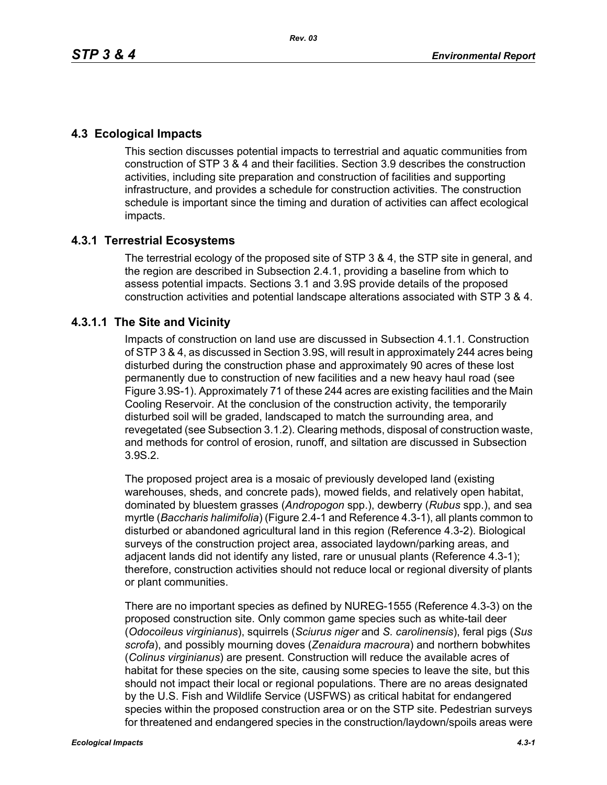# **4.3 Ecological Impacts**

This section discusses potential impacts to terrestrial and aquatic communities from construction of STP 3 & 4 and their facilities. Section 3.9 describes the construction activities, including site preparation and construction of facilities and supporting infrastructure, and provides a schedule for construction activities. The construction schedule is important since the timing and duration of activities can affect ecological impacts.

# **4.3.1 Terrestrial Ecosystems**

The terrestrial ecology of the proposed site of STP 3 & 4, the STP site in general, and the region are described in Subsection 2.4.1, providing a baseline from which to assess potential impacts. Sections 3.1 and 3.9S provide details of the proposed construction activities and potential landscape alterations associated with STP 3 & 4.

# **4.3.1.1 The Site and Vicinity**

Impacts of construction on land use are discussed in Subsection 4.1.1. Construction of STP 3 & 4, as discussed in Section 3.9S, will result in approximately 244 acres being disturbed during the construction phase and approximately 90 acres of these lost permanently due to construction of new facilities and a new heavy haul road (see Figure 3.9S-1). Approximately 71 of these 244 acres are existing facilities and the Main Cooling Reservoir. At the conclusion of the construction activity, the temporarily disturbed soil will be graded, landscaped to match the surrounding area, and revegetated (see Subsection 3.1.2). Clearing methods, disposal of construction waste, and methods for control of erosion, runoff, and siltation are discussed in Subsection 3.9S.2.

The proposed project area is a mosaic of previously developed land (existing warehouses, sheds, and concrete pads), mowed fields, and relatively open habitat, dominated by bluestem grasses (*Andropogon* spp.), dewberry (*Rubus* spp.), and sea myrtle (*Baccharis halimifolia*) (Figure 2.4-1 and Reference 4.3-1), all plants common to disturbed or abandoned agricultural land in this region (Reference 4.3-2). Biological surveys of the construction project area, associated laydown/parking areas, and adjacent lands did not identify any listed, rare or unusual plants (Reference 4.3-1); therefore, construction activities should not reduce local or regional diversity of plants or plant communities.

There are no important species as defined by NUREG-1555 (Reference 4.3-3) on the proposed construction site. Only common game species such as white-tail deer (*Odocoileus virginianus*), squirrels (*Sciurus niger* and *S. carolinensis*), feral pigs (*Sus scrofa*), and possibly mourning doves (*Zenaidura macroura*) and northern bobwhites (*Colinus virginianus*) are present. Construction will reduce the available acres of habitat for these species on the site, causing some species to leave the site, but this should not impact their local or regional populations. There are no areas designated by the U.S. Fish and Wildlife Service (USFWS) as critical habitat for endangered species within the proposed construction area or on the STP site. Pedestrian surveys for threatened and endangered species in the construction/laydown/spoils areas were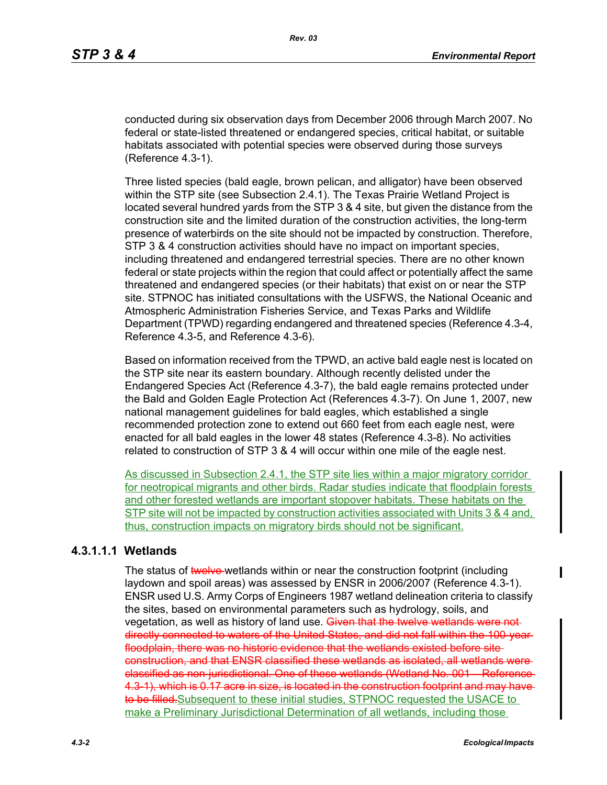conducted during six observation days from December 2006 through March 2007. No federal or state-listed threatened or endangered species, critical habitat, or suitable habitats associated with potential species were observed during those surveys (Reference 4.3-1).

Three listed species (bald eagle, brown pelican, and alligator) have been observed within the STP site (see Subsection 2.4.1). The Texas Prairie Wetland Project is located several hundred yards from the STP 3 & 4 site, but given the distance from the construction site and the limited duration of the construction activities, the long-term presence of waterbirds on the site should not be impacted by construction. Therefore, STP 3 & 4 construction activities should have no impact on important species, including threatened and endangered terrestrial species. There are no other known federal or state projects within the region that could affect or potentially affect the same threatened and endangered species (or their habitats) that exist on or near the STP site. STPNOC has initiated consultations with the USFWS, the National Oceanic and Atmospheric Administration Fisheries Service, and Texas Parks and Wildlife Department (TPWD) regarding endangered and threatened species (Reference 4.3-4, Reference 4.3-5, and Reference 4.3-6).

Based on information received from the TPWD, an active bald eagle nest is located on the STP site near its eastern boundary. Although recently delisted under the Endangered Species Act (Reference 4.3-7), the bald eagle remains protected under the Bald and Golden Eagle Protection Act (References 4.3-7). On June 1, 2007, new national management guidelines for bald eagles, which established a single recommended protection zone to extend out 660 feet from each eagle nest, were enacted for all bald eagles in the lower 48 states (Reference 4.3-8). No activities related to construction of STP 3 & 4 will occur within one mile of the eagle nest.

As discussed in Subsection 2.4.1, the STP site lies within a major migratory corridor for neotropical migrants and other birds. Radar studies indicate that floodplain forests and other forested wetlands are important stopover habitats. These habitats on the STP site will not be impacted by construction activities associated with Units 3 & 4 and, thus, construction impacts on migratory birds should not be significant.

#### **4.3.1.1.1 Wetlands**

The status of twelve-wetlands within or near the construction footprint (including laydown and spoil areas) was assessed by ENSR in 2006/2007 (Reference 4.3-1). ENSR used U.S. Army Corps of Engineers 1987 wetland delineation criteria to classify the sites, based on environmental parameters such as hydrology, soils, and vegetation, as well as history of land use. Given that the twelve wetlands were not directly connected to waters of the United States, and did not fall within the 100-year floodplain, there was no historic evidence that the wetlands existed before siteconstruction, and that ENSR classified these wetlands as isolated, all wetlands were classified as non-jurisdictional. One of these wetlands (Wetland No. 001 – Reference 4.3-1), which is 0.17 acre in size, is located in the construction footprint and may have to be filled. Subsequent to these initial studies, STPNOC requested the USACE to make a Preliminary Jurisdictional Determination of all wetlands, including those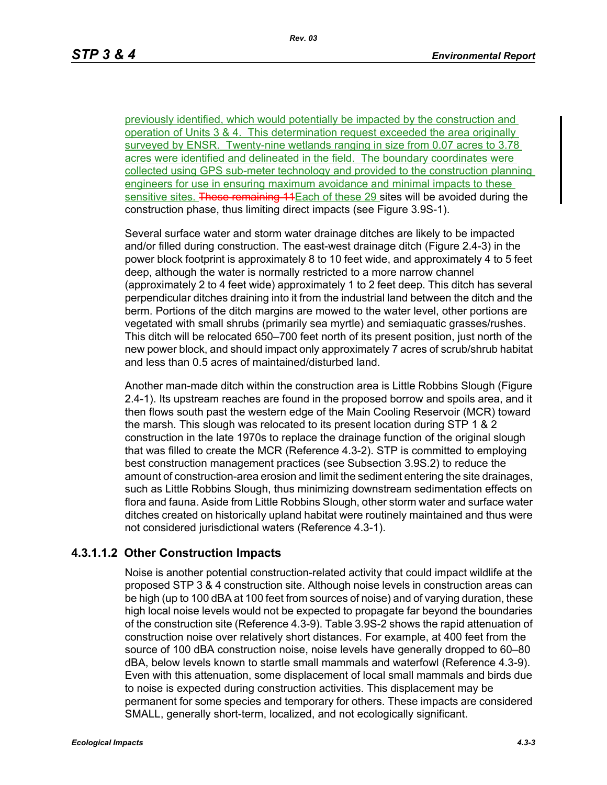previously identified, which would potentially be impacted by the construction and operation of Units 3 & 4. This determination request exceeded the area originally surveyed by ENSR. Twenty-nine wetlands ranging in size from 0.07 acres to 3.78 acres were identified and delineated in the field. The boundary coordinates were collected using GPS sub-meter technology and provided to the construction planning engineers for use in ensuring maximum avoidance and minimal impacts to these sensitive sites. These remaining 14 Each of these 29 sites will be avoided during the construction phase, thus limiting direct impacts (see Figure 3.9S-1).

Several surface water and storm water drainage ditches are likely to be impacted and/or filled during construction. The east-west drainage ditch (Figure 2.4-3) in the power block footprint is approximately 8 to 10 feet wide, and approximately 4 to 5 feet deep, although the water is normally restricted to a more narrow channel (approximately 2 to 4 feet wide) approximately 1 to 2 feet deep. This ditch has several perpendicular ditches draining into it from the industrial land between the ditch and the berm. Portions of the ditch margins are mowed to the water level, other portions are vegetated with small shrubs (primarily sea myrtle) and semiaquatic grasses/rushes. This ditch will be relocated 650–700 feet north of its present position, just north of the new power block, and should impact only approximately 7 acres of scrub/shrub habitat and less than 0.5 acres of maintained/disturbed land.

Another man-made ditch within the construction area is Little Robbins Slough (Figure 2.4-1). Its upstream reaches are found in the proposed borrow and spoils area, and it then flows south past the western edge of the Main Cooling Reservoir (MCR) toward the marsh. This slough was relocated to its present location during STP 1 & 2 construction in the late 1970s to replace the drainage function of the original slough that was filled to create the MCR (Reference 4.3-2). STP is committed to employing best construction management practices (see Subsection 3.9S.2) to reduce the amount of construction-area erosion and limit the sediment entering the site drainages, such as Little Robbins Slough, thus minimizing downstream sedimentation effects on flora and fauna. Aside from Little Robbins Slough, other storm water and surface water ditches created on historically upland habitat were routinely maintained and thus were not considered jurisdictional waters (Reference 4.3-1).

### **4.3.1.1.2 Other Construction Impacts**

Noise is another potential construction-related activity that could impact wildlife at the proposed STP 3 & 4 construction site. Although noise levels in construction areas can be high (up to 100 dBA at 100 feet from sources of noise) and of varying duration, these high local noise levels would not be expected to propagate far beyond the boundaries of the construction site (Reference 4.3-9). Table 3.9S-2 shows the rapid attenuation of construction noise over relatively short distances. For example, at 400 feet from the source of 100 dBA construction noise, noise levels have generally dropped to 60–80 dBA, below levels known to startle small mammals and waterfowl (Reference 4.3-9). Even with this attenuation, some displacement of local small mammals and birds due to noise is expected during construction activities. This displacement may be permanent for some species and temporary for others. These impacts are considered SMALL, generally short-term, localized, and not ecologically significant.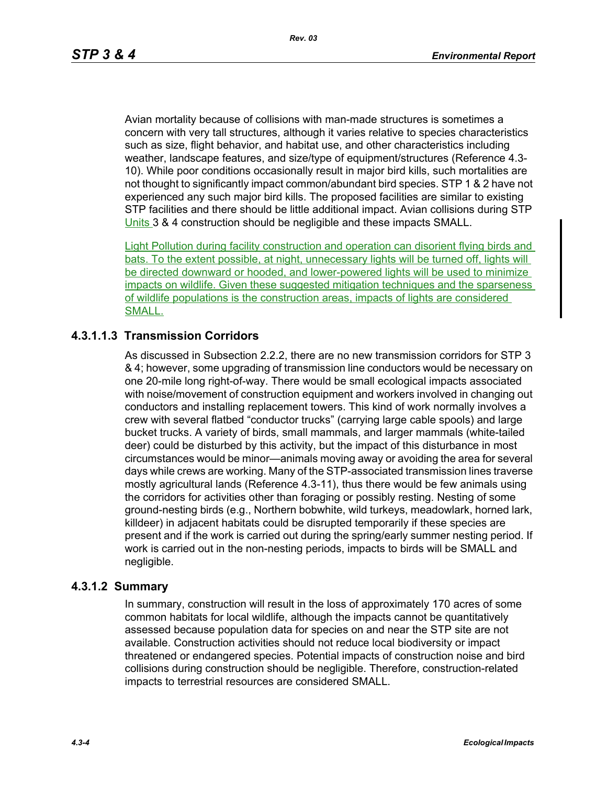Avian mortality because of collisions with man-made structures is sometimes a concern with very tall structures, although it varies relative to species characteristics such as size, flight behavior, and habitat use, and other characteristics including weather, landscape features, and size/type of equipment/structures (Reference 4.3- 10). While poor conditions occasionally result in major bird kills, such mortalities are not thought to significantly impact common/abundant bird species. STP 1 & 2 have not experienced any such major bird kills. The proposed facilities are similar to existing STP facilities and there should be little additional impact. Avian collisions during STP Units 3 & 4 construction should be negligible and these impacts SMALL.

Light Pollution during facility construction and operation can disorient flying birds and bats. To the extent possible, at night, unnecessary lights will be turned off, lights will be directed downward or hooded, and lower-powered lights will be used to minimize impacts on wildlife. Given these suggested mitigation techniques and the sparseness of wildlife populations is the construction areas, impacts of lights are considered SMALL.

### **4.3.1.1.3 Transmission Corridors**

As discussed in Subsection 2.2.2, there are no new transmission corridors for STP 3 & 4; however, some upgrading of transmission line conductors would be necessary on one 20-mile long right-of-way. There would be small ecological impacts associated with noise/movement of construction equipment and workers involved in changing out conductors and installing replacement towers. This kind of work normally involves a crew with several flatbed "conductor trucks" (carrying large cable spools) and large bucket trucks. A variety of birds, small mammals, and larger mammals (white-tailed deer) could be disturbed by this activity, but the impact of this disturbance in most circumstances would be minor—animals moving away or avoiding the area for several days while crews are working. Many of the STP-associated transmission lines traverse mostly agricultural lands (Reference 4.3-11), thus there would be few animals using the corridors for activities other than foraging or possibly resting. Nesting of some ground-nesting birds (e.g., Northern bobwhite, wild turkeys, meadowlark, horned lark, killdeer) in adjacent habitats could be disrupted temporarily if these species are present and if the work is carried out during the spring/early summer nesting period. If work is carried out in the non-nesting periods, impacts to birds will be SMALL and negligible.

#### **4.3.1.2 Summary**

In summary, construction will result in the loss of approximately 170 acres of some common habitats for local wildlife, although the impacts cannot be quantitatively assessed because population data for species on and near the STP site are not available. Construction activities should not reduce local biodiversity or impact threatened or endangered species. Potential impacts of construction noise and bird collisions during construction should be negligible. Therefore, construction-related impacts to terrestrial resources are considered SMALL.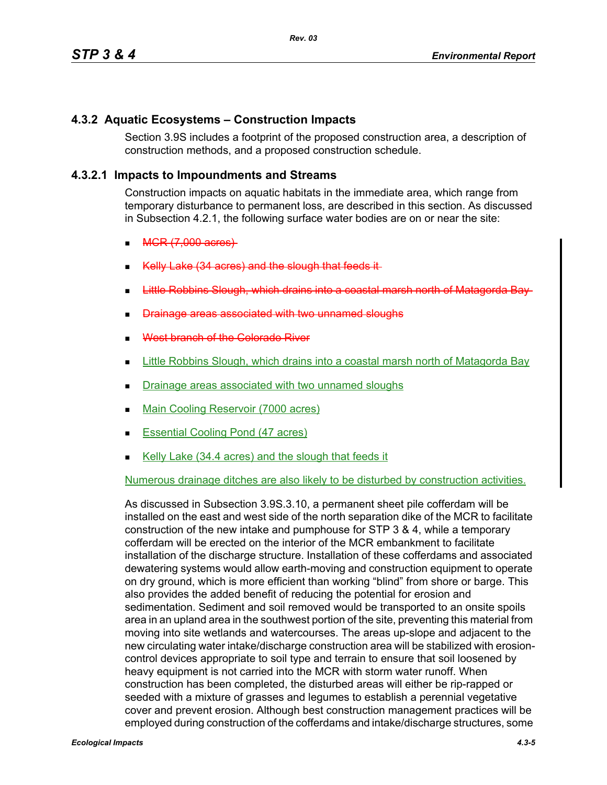## **4.3.2 Aquatic Ecosystems – Construction Impacts**

Section 3.9S includes a footprint of the proposed construction area, a description of construction methods, and a proposed construction schedule.

## **4.3.2.1 Impacts to Impoundments and Streams**

Construction impacts on aquatic habitats in the immediate area, which range from temporary disturbance to permanent loss, are described in this section. As discussed in Subsection 4.2.1, the following surface water bodies are on or near the site:

- MCR (7,000 acres)
- (34 acres) and the slough that feeds
- arsh north
- associated with two unnamed
- West branch of the Colorado River
- **Little Robbins Slough, which drains into a coastal marsh north of Matagorda Bay**
- Drainage areas associated with two unnamed sloughs
- Main Cooling Reservoir (7000 acres)
- Essential Cooling Pond (47 acres)
- Kelly Lake (34.4 acres) and the slough that feeds it

# Numerous drainage ditches are also likely to be disturbed by construction activities.

As discussed in Subsection 3.9S.3.10, a permanent sheet pile cofferdam will be installed on the east and west side of the north separation dike of the MCR to facilitate construction of the new intake and pumphouse for STP 3 & 4, while a temporary cofferdam will be erected on the interior of the MCR embankment to facilitate installation of the discharge structure. Installation of these cofferdams and associated dewatering systems would allow earth-moving and construction equipment to operate on dry ground, which is more efficient than working "blind" from shore or barge. This also provides the added benefit of reducing the potential for erosion and sedimentation. Sediment and soil removed would be transported to an onsite spoils area in an upland area in the southwest portion of the site, preventing this material from moving into site wetlands and watercourses. The areas up-slope and adjacent to the new circulating water intake/discharge construction area will be stabilized with erosioncontrol devices appropriate to soil type and terrain to ensure that soil loosened by heavy equipment is not carried into the MCR with storm water runoff. When construction has been completed, the disturbed areas will either be rip-rapped or seeded with a mixture of grasses and legumes to establish a perennial vegetative cover and prevent erosion. Although best construction management practices will be employed during construction of the cofferdams and intake/discharge structures, some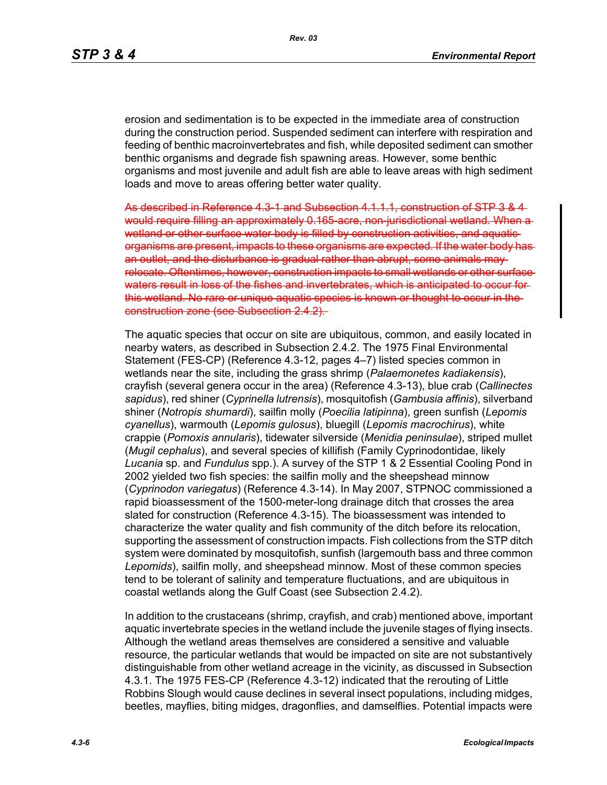erosion and sedimentation is to be expected in the immediate area of construction during the construction period. Suspended sediment can interfere with respiration and feeding of benthic macroinvertebrates and fish, while deposited sediment can smother benthic organisms and degrade fish spawning areas. However, some benthic organisms and most juvenile and adult fish are able to leave areas with high sediment loads and move to areas offering better water quality.

As described in Reference 4.3-1 and Subsection 4.1.1.1, construction of STP 3 & 4 would require filling an approximately 0.165 acre, non-jurisdictional wetland or other surface water body is filled by construction activities, and aquaticorganisms are present, impacts to these organisms are expected. If the water body has an outlet, and the disturbance is gradual rather than abrupt, some animals may relocate. Oftentimes, however, construction impacts to small wetlands or other surface waters result in loss of the fishes and invertebrates, which is anticipated to occur for this wetland. No rare or unique aquatic species is known or thought to occur in the construction zone (see Subsection 2.4.2).

The aquatic species that occur on site are ubiquitous, common, and easily located in nearby waters, as described in Subsection 2.4.2. The 1975 Final Environmental Statement (FES-CP) (Reference 4.3-12, pages 4–7) listed species common in wetlands near the site, including the grass shrimp (*Palaemonetes kadiakensis*), crayfish (several genera occur in the area) (Reference 4.3-13), blue crab (*Callinectes sapidus*), red shiner (*Cyprinella lutrensis*), mosquitofish (*Gambusia affinis*), silverband shiner (*Notropis shumardi*), sailfin molly (*Poecilia latipinna*), green sunfish (*Lepomis cyanellus*), warmouth (*Lepomis gulosus*), bluegill (*Lepomis macrochirus*), white crappie (*Pomoxis annularis*), tidewater silverside (*Menidia peninsulae*), striped mullet (*Mugil cephalus*), and several species of killifish (Family Cyprinodontidae, likely *Lucania* sp. and *Fundulus* spp.). A survey of the STP 1 & 2 Essential Cooling Pond in 2002 yielded two fish species: the sailfin molly and the sheepshead minnow (*Cyprinodon variegatus*) (Reference 4.3-14). In May 2007, STPNOC commissioned a rapid bioassessment of the 1500-meter-long drainage ditch that crosses the area slated for construction (Reference 4.3-15). The bioassessment was intended to characterize the water quality and fish community of the ditch before its relocation, supporting the assessment of construction impacts. Fish collections from the STP ditch system were dominated by mosquitofish, sunfish (largemouth bass and three common *Lepomids*), sailfin molly, and sheepshead minnow. Most of these common species tend to be tolerant of salinity and temperature fluctuations, and are ubiquitous in coastal wetlands along the Gulf Coast (see Subsection 2.4.2).

In addition to the crustaceans (shrimp, crayfish, and crab) mentioned above, important aquatic invertebrate species in the wetland include the juvenile stages of flying insects. Although the wetland areas themselves are considered a sensitive and valuable resource, the particular wetlands that would be impacted on site are not substantively distinguishable from other wetland acreage in the vicinity, as discussed in Subsection 4.3.1. The 1975 FES-CP (Reference 4.3-12) indicated that the rerouting of Little Robbins Slough would cause declines in several insect populations, including midges, beetles, mayflies, biting midges, dragonflies, and damselflies. Potential impacts were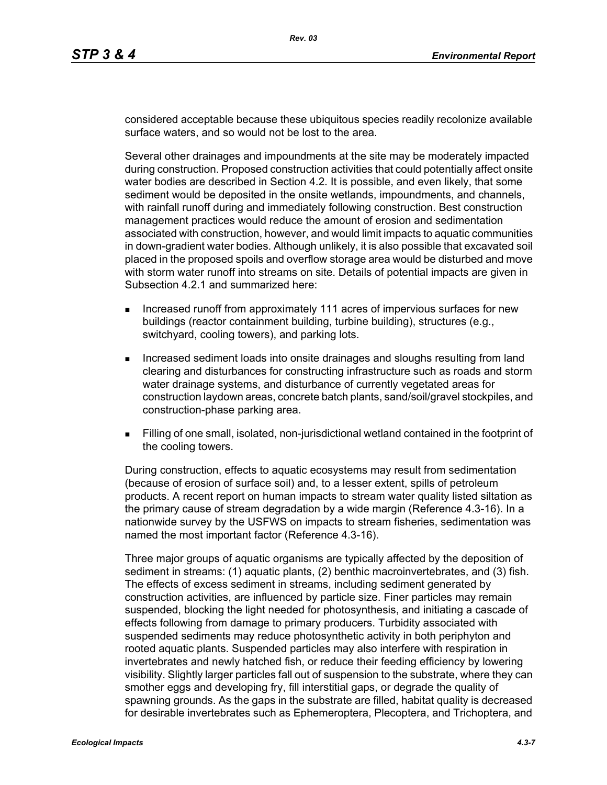considered acceptable because these ubiquitous species readily recolonize available surface waters, and so would not be lost to the area.

Several other drainages and impoundments at the site may be moderately impacted during construction. Proposed construction activities that could potentially affect onsite water bodies are described in Section 4.2. It is possible, and even likely, that some sediment would be deposited in the onsite wetlands, impoundments, and channels, with rainfall runoff during and immediately following construction. Best construction management practices would reduce the amount of erosion and sedimentation associated with construction, however, and would limit impacts to aquatic communities in down-gradient water bodies. Although unlikely, it is also possible that excavated soil placed in the proposed spoils and overflow storage area would be disturbed and move with storm water runoff into streams on site. Details of potential impacts are given in Subsection 4.2.1 and summarized here:

- **Increased runoff from approximately 111 acres of impervious surfaces for new** buildings (reactor containment building, turbine building), structures (e.g., switchyard, cooling towers), and parking lots.
- Increased sediment loads into onsite drainages and sloughs resulting from land clearing and disturbances for constructing infrastructure such as roads and storm water drainage systems, and disturbance of currently vegetated areas for construction laydown areas, concrete batch plants, sand/soil/gravel stockpiles, and construction-phase parking area.
- Filling of one small, isolated, non-jurisdictional wetland contained in the footprint of the cooling towers.

During construction, effects to aquatic ecosystems may result from sedimentation (because of erosion of surface soil) and, to a lesser extent, spills of petroleum products. A recent report on human impacts to stream water quality listed siltation as the primary cause of stream degradation by a wide margin (Reference 4.3-16). In a nationwide survey by the USFWS on impacts to stream fisheries, sedimentation was named the most important factor (Reference 4.3-16).

Three major groups of aquatic organisms are typically affected by the deposition of sediment in streams: (1) aquatic plants, (2) benthic macroinvertebrates, and (3) fish. The effects of excess sediment in streams, including sediment generated by construction activities, are influenced by particle size. Finer particles may remain suspended, blocking the light needed for photosynthesis, and initiating a cascade of effects following from damage to primary producers. Turbidity associated with suspended sediments may reduce photosynthetic activity in both periphyton and rooted aquatic plants. Suspended particles may also interfere with respiration in invertebrates and newly hatched fish, or reduce their feeding efficiency by lowering visibility. Slightly larger particles fall out of suspension to the substrate, where they can smother eggs and developing fry, fill interstitial gaps, or degrade the quality of spawning grounds. As the gaps in the substrate are filled, habitat quality is decreased for desirable invertebrates such as Ephemeroptera, Plecoptera, and Trichoptera, and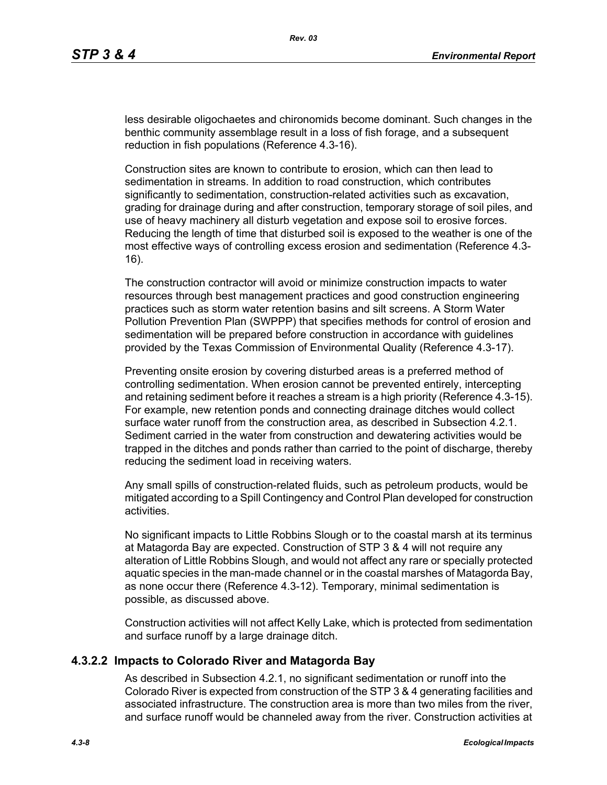less desirable oligochaetes and chironomids become dominant. Such changes in the benthic community assemblage result in a loss of fish forage, and a subsequent reduction in fish populations (Reference 4.3-16).

Construction sites are known to contribute to erosion, which can then lead to sedimentation in streams. In addition to road construction, which contributes significantly to sedimentation, construction-related activities such as excavation, grading for drainage during and after construction, temporary storage of soil piles, and use of heavy machinery all disturb vegetation and expose soil to erosive forces. Reducing the length of time that disturbed soil is exposed to the weather is one of the most effective ways of controlling excess erosion and sedimentation (Reference 4.3- 16).

The construction contractor will avoid or minimize construction impacts to water resources through best management practices and good construction engineering practices such as storm water retention basins and silt screens. A Storm Water Pollution Prevention Plan (SWPPP) that specifies methods for control of erosion and sedimentation will be prepared before construction in accordance with guidelines provided by the Texas Commission of Environmental Quality (Reference 4.3-17).

Preventing onsite erosion by covering disturbed areas is a preferred method of controlling sedimentation. When erosion cannot be prevented entirely, intercepting and retaining sediment before it reaches a stream is a high priority (Reference 4.3-15). For example, new retention ponds and connecting drainage ditches would collect surface water runoff from the construction area, as described in Subsection 4.2.1. Sediment carried in the water from construction and dewatering activities would be trapped in the ditches and ponds rather than carried to the point of discharge, thereby reducing the sediment load in receiving waters.

Any small spills of construction-related fluids, such as petroleum products, would be mitigated according to a Spill Contingency and Control Plan developed for construction activities.

No significant impacts to Little Robbins Slough or to the coastal marsh at its terminus at Matagorda Bay are expected. Construction of STP 3 & 4 will not require any alteration of Little Robbins Slough, and would not affect any rare or specially protected aquatic species in the man-made channel or in the coastal marshes of Matagorda Bay, as none occur there (Reference 4.3-12). Temporary, minimal sedimentation is possible, as discussed above.

Construction activities will not affect Kelly Lake, which is protected from sedimentation and surface runoff by a large drainage ditch.

#### **4.3.2.2 Impacts to Colorado River and Matagorda Bay**

As described in Subsection 4.2.1, no significant sedimentation or runoff into the Colorado River is expected from construction of the STP 3 & 4 generating facilities and associated infrastructure. The construction area is more than two miles from the river, and surface runoff would be channeled away from the river. Construction activities at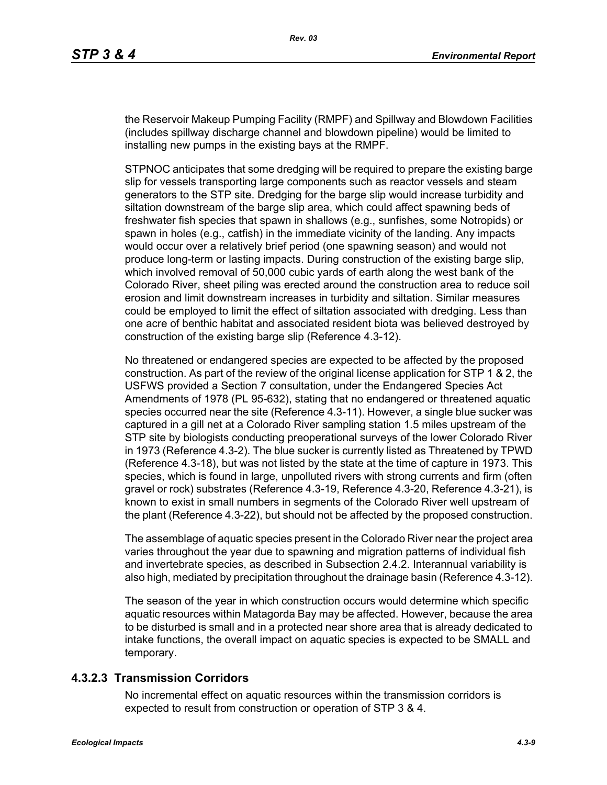the Reservoir Makeup Pumping Facility (RMPF) and Spillway and Blowdown Facilities (includes spillway discharge channel and blowdown pipeline) would be limited to installing new pumps in the existing bays at the RMPF.

STPNOC anticipates that some dredging will be required to prepare the existing barge slip for vessels transporting large components such as reactor vessels and steam generators to the STP site. Dredging for the barge slip would increase turbidity and siltation downstream of the barge slip area, which could affect spawning beds of freshwater fish species that spawn in shallows (e.g., sunfishes, some Notropids) or spawn in holes (e.g., catfish) in the immediate vicinity of the landing. Any impacts would occur over a relatively brief period (one spawning season) and would not produce long-term or lasting impacts. During construction of the existing barge slip, which involved removal of 50,000 cubic yards of earth along the west bank of the Colorado River, sheet piling was erected around the construction area to reduce soil erosion and limit downstream increases in turbidity and siltation. Similar measures could be employed to limit the effect of siltation associated with dredging. Less than one acre of benthic habitat and associated resident biota was believed destroyed by construction of the existing barge slip (Reference 4.3-12).

No threatened or endangered species are expected to be affected by the proposed construction. As part of the review of the original license application for STP 1 & 2, the USFWS provided a Section 7 consultation, under the Endangered Species Act Amendments of 1978 (PL 95-632), stating that no endangered or threatened aquatic species occurred near the site (Reference 4.3-11). However, a single blue sucker was captured in a gill net at a Colorado River sampling station 1.5 miles upstream of the STP site by biologists conducting preoperational surveys of the lower Colorado River in 1973 (Reference 4.3-2). The blue sucker is currently listed as Threatened by TPWD (Reference 4.3-18), but was not listed by the state at the time of capture in 1973. This species, which is found in large, unpolluted rivers with strong currents and firm (often gravel or rock) substrates (Reference 4.3-19, Reference 4.3-20, Reference 4.3-21), is known to exist in small numbers in segments of the Colorado River well upstream of the plant (Reference 4.3-22), but should not be affected by the proposed construction.

The assemblage of aquatic species present in the Colorado River near the project area varies throughout the year due to spawning and migration patterns of individual fish and invertebrate species, as described in Subsection 2.4.2. Interannual variability is also high, mediated by precipitation throughout the drainage basin (Reference 4.3-12).

The season of the year in which construction occurs would determine which specific aquatic resources within Matagorda Bay may be affected. However, because the area to be disturbed is small and in a protected near shore area that is already dedicated to intake functions, the overall impact on aquatic species is expected to be SMALL and temporary.

#### **4.3.2.3 Transmission Corridors**

No incremental effect on aquatic resources within the transmission corridors is expected to result from construction or operation of STP 3 & 4.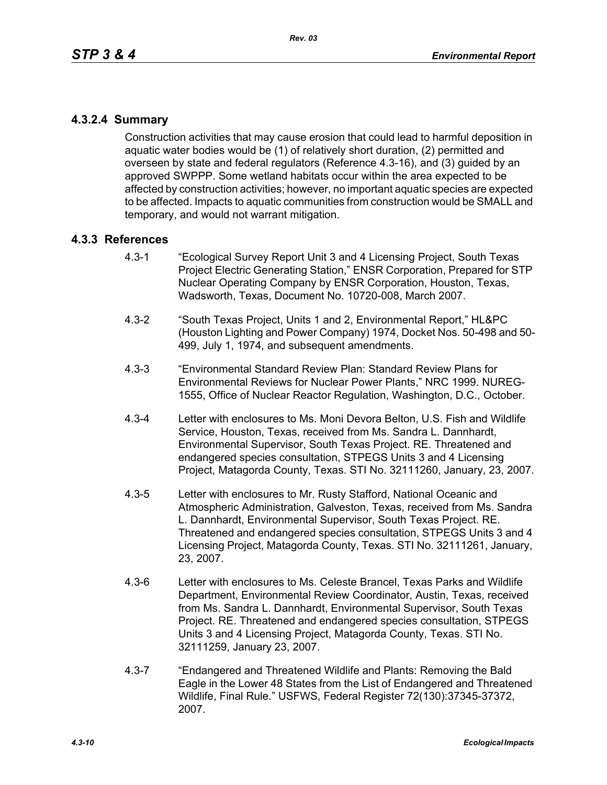## **4.3.2.4 Summary**

Construction activities that may cause erosion that could lead to harmful deposition in aquatic water bodies would be (1) of relatively short duration, (2) permitted and overseen by state and federal regulators (Reference 4.3-16), and (3) guided by an approved SWPPP. Some wetland habitats occur within the area expected to be affected by construction activities; however, no important aquatic species are expected to be affected. Impacts to aquatic communities from construction would be SMALL and temporary, and would not warrant mitigation.

### **4.3.3 References**

- 4.3-1 "Ecological Survey Report Unit 3 and 4 Licensing Project, South Texas Project Electric Generating Station," ENSR Corporation, Prepared for STP Nuclear Operating Company by ENSR Corporation, Houston, Texas, Wadsworth, Texas, Document No. 10720-008, March 2007.
- 4.3-2 "South Texas Project, Units 1 and 2, Environmental Report," HL&PC (Houston Lighting and Power Company) 1974, Docket Nos. 50-498 and 50- 499, July 1, 1974, and subsequent amendments.
- 4.3-3 "Environmental Standard Review Plan: Standard Review Plans for Environmental Reviews for Nuclear Power Plants," NRC 1999. NUREG-1555, Office of Nuclear Reactor Regulation, Washington, D.C., October.
- 4.3-4 Letter with enclosures to Ms. Moni Devora Belton, U.S. Fish and Wildlife Service, Houston, Texas, received from Ms. Sandra L. Dannhardt, Environmental Supervisor, South Texas Project. RE. Threatened and endangered species consultation, STPEGS Units 3 and 4 Licensing Project, Matagorda County, Texas. STI No. 32111260, January, 23, 2007.
- 4.3-5 Letter with enclosures to Mr. Rusty Stafford, National Oceanic and Atmospheric Administration, Galveston, Texas, received from Ms. Sandra L. Dannhardt, Environmental Supervisor, South Texas Project. RE. Threatened and endangered species consultation, STPEGS Units 3 and 4 Licensing Project, Matagorda County, Texas. STI No. 32111261, January, 23, 2007.
- 4.3-6 Letter with enclosures to Ms. Celeste Brancel, Texas Parks and Wildlife Department, Environmental Review Coordinator, Austin, Texas, received from Ms. Sandra L. Dannhardt, Environmental Supervisor, South Texas Project. RE. Threatened and endangered species consultation, STPEGS Units 3 and 4 Licensing Project, Matagorda County, Texas. STI No. 32111259, January 23, 2007.
- 4.3-7 "Endangered and Threatened Wildlife and Plants: Removing the Bald Eagle in the Lower 48 States from the List of Endangered and Threatened Wildlife, Final Rule." USFWS, Federal Register 72(130):37345-37372, 2007.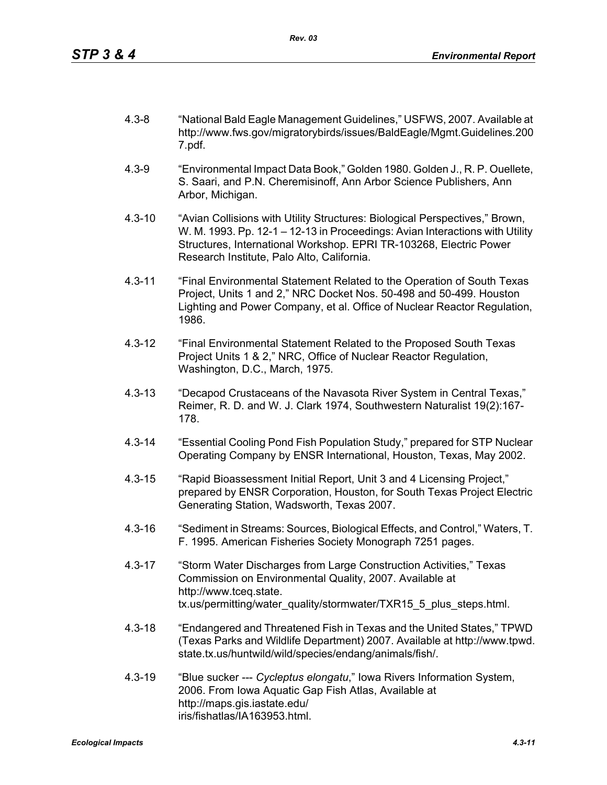- 4.3-8 "National Bald Eagle Management Guidelines," USFWS, 2007. Available at http://www.fws.gov/migratorybirds/issues/BaldEagle/Mgmt.Guidelines.200 7.pdf.
- 4.3-9 "Environmental Impact Data Book," Golden 1980. Golden J., R. P. Ouellete, S. Saari, and P.N. Cheremisinoff, Ann Arbor Science Publishers, Ann Arbor, Michigan.
- 4.3-10 "Avian Collisions with Utility Structures: Biological Perspectives," Brown, W. M. 1993. Pp. 12-1 – 12-13 in Proceedings: Avian Interactions with Utility Structures, International Workshop. EPRI TR-103268, Electric Power Research Institute, Palo Alto, California.
- 4.3-11 "Final Environmental Statement Related to the Operation of South Texas Project, Units 1 and 2," NRC Docket Nos. 50-498 and 50-499. Houston Lighting and Power Company, et al. Office of Nuclear Reactor Regulation, 1986.
- 4.3-12 "Final Environmental Statement Related to the Proposed South Texas Project Units 1 & 2," NRC, Office of Nuclear Reactor Regulation, Washington, D.C., March, 1975.
- 4.3-13 "Decapod Crustaceans of the Navasota River System in Central Texas," Reimer, R. D. and W. J. Clark 1974, Southwestern Naturalist 19(2):167- 178.
- 4.3-14 "Essential Cooling Pond Fish Population Study," prepared for STP Nuclear Operating Company by ENSR International, Houston, Texas, May 2002.
- 4.3-15 "Rapid Bioassessment Initial Report, Unit 3 and 4 Licensing Project," prepared by ENSR Corporation, Houston, for South Texas Project Electric Generating Station, Wadsworth, Texas 2007.
- 4.3-16 "Sediment in Streams: Sources, Biological Effects, and Control," Waters, T. F. 1995. American Fisheries Society Monograph 7251 pages.
- 4.3-17 "Storm Water Discharges from Large Construction Activities," Texas Commission on Environmental Quality, 2007. Available at http://www.tceq.state. tx.us/permitting/water\_quality/stormwater/TXR15\_5\_plus\_steps.html.
- 4.3-18 "Endangered and Threatened Fish in Texas and the United States," TPWD (Texas Parks and Wildlife Department) 2007. Available at http://www.tpwd. state.tx.us/huntwild/wild/species/endang/animals/fish/.
- 4.3-19 "Blue sucker --- *Cycleptus elongatu*," Iowa Rivers Information System, 2006. From Iowa Aquatic Gap Fish Atlas, Available at http://maps.gis.iastate.edu/ iris/fishatlas/IA163953.html.